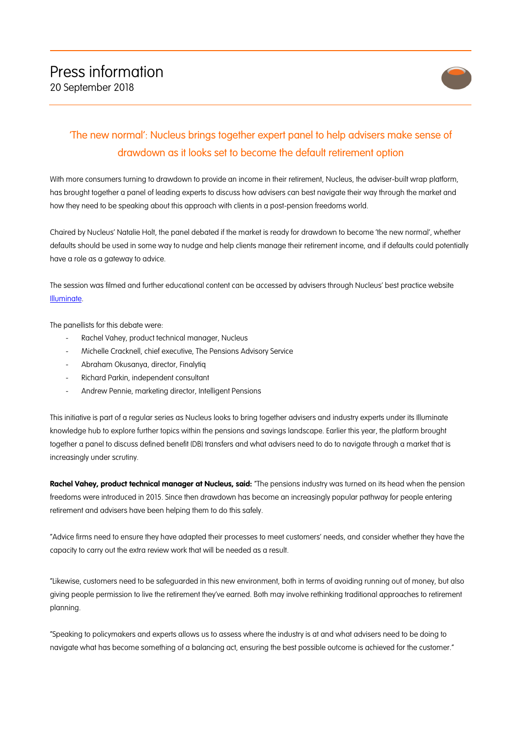

## 'The new normal': Nucleus brings together expert panel to help advisers make sense of drawdown as it looks set to become the default retirement option

With more consumers turning to drawdown to provide an income in their retirement, Nucleus, the adviser-built wrap platform, has brought together a panel of leading experts to discuss how advisers can best navigate their way through the market and how they need to be speaking about this approach with clients in a post-pension freedoms world.

Chaired by Nucleus' Natalie Holt, the panel debated if the market is ready for drawdown to become 'the new normal', whether defaults should be used in some way to nudge and help clients manage their retirement income, and if defaults could potentially have a role as a gateway to advice.

The session was filmed and further educational content can be accessed by advisers through Nucleus' best practice website Illuminate.

The panellists for this debate were:

- Rachel Vahey, product technical manager, Nucleus
- Michelle Cracknell, chief executive, The Pensions Advisory Service
- Abraham Okusanya, director, Finalytiq
- Richard Parkin, independent consultant
- Andrew Pennie, marketing director, Intelligent Pensions

This initiative is part of a regular series as Nucleus looks to bring together advisers and industry experts under its Illuminate knowledge hub to explore further topics within the pensions and savings landscape. Earlier this year, the platform brought together a panel to discuss defined benefit (DB) transfers and what advisers need to do to navigate through a market that is increasingly under scrutiny.

**Rachel Vahey, product technical manager at Nucleus, said:** "The pensions industry was turned on its head when the pension freedoms were introduced in 2015. Since then drawdown has become an increasingly popular pathway for people entering retirement and advisers have been helping them to do this safely.

"Advice firms need to ensure they have adapted their processes to meet customers' needs, and consider whether they have the capacity to carry out the extra review work that will be needed as a result.

"Likewise, customers need to be safeguarded in this new environment, both in terms of avoiding running out of money, but also giving people permission to live the retirement they've earned. Both may involve rethinking traditional approaches to retirement planning.

"Speaking to policymakers and experts allows us to assess where the industry is at and what advisers need to be doing to navigate what has become something of a balancing act, ensuring the best possible outcome is achieved for the customer."